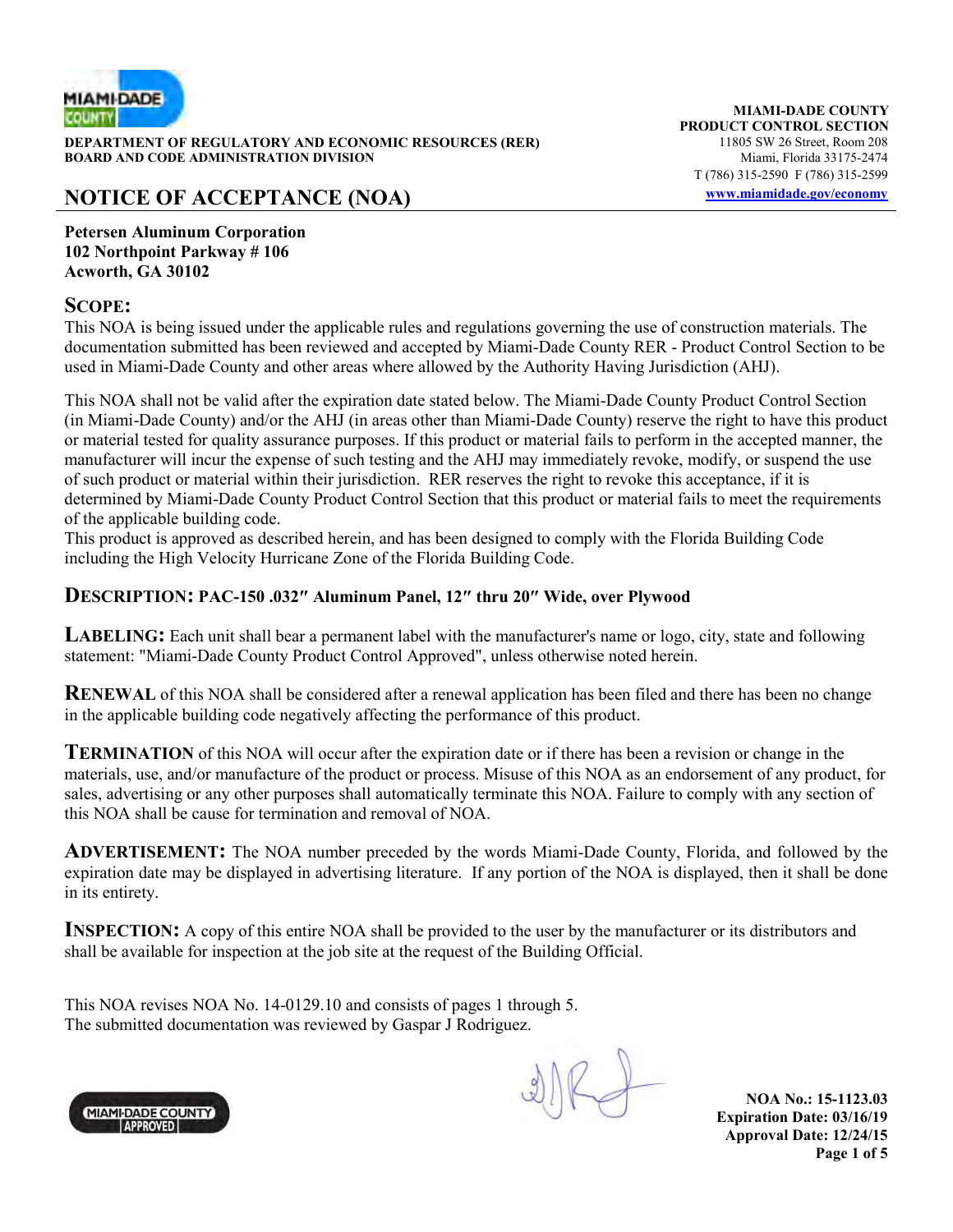

**DEPARTMENT OF REGULATORY AND ECONOMIC RESOURCES (RER)** 11805 SW 26 Street, Room 208<br>**BOARD AND CODE ADMINISTRATION DIVISION** 11807 11805 SW 26 Street, Room 208 **BOARD AND CODE ADMINISTRATION DIVISION** 

# **NOTICE OF ACCEPTANCE (NOA) www.miamidade.gov/economy**

**MIAMI-DADE COUNTY PRODUCT CONTROL SECTION** T (786) 315-2590 F (786) 315-2599

**Petersen Aluminum Corporation 102 Northpoint Parkway # 106 Acworth, GA 30102** 

#### **SCOPE:**

This NOA is being issued under the applicable rules and regulations governing the use of construction materials. The documentation submitted has been reviewed and accepted by Miami-Dade County RER - Product Control Section to be used in Miami-Dade County and other areas where allowed by the Authority Having Jurisdiction (AHJ).

This NOA shall not be valid after the expiration date stated below. The Miami-Dade County Product Control Section (in Miami-Dade County) and/or the AHJ (in areas other than Miami-Dade County) reserve the right to have this product or material tested for quality assurance purposes. If this product or material fails to perform in the accepted manner, the manufacturer will incur the expense of such testing and the AHJ may immediately revoke, modify, or suspend the use of such product or material within their jurisdiction. RER reserves the right to revoke this acceptance, if it is determined by Miami-Dade County Product Control Section that this product or material fails to meet the requirements of the applicable building code.

This product is approved as described herein, and has been designed to comply with the Florida Building Code including the High Velocity Hurricane Zone of the Florida Building Code.

#### **DESCRIPTION: PAC-150 .032″ Aluminum Panel, 12″ thru 20″ Wide, over Plywood**

**LABELING:** Each unit shall bear a permanent label with the manufacturer's name or logo, city, state and following statement: "Miami-Dade County Product Control Approved", unless otherwise noted herein.

**RENEWAL** of this NOA shall be considered after a renewal application has been filed and there has been no change in the applicable building code negatively affecting the performance of this product.

**TERMINATION** of this NOA will occur after the expiration date or if there has been a revision or change in the materials, use, and/or manufacture of the product or process. Misuse of this NOA as an endorsement of any product, for sales, advertising or any other purposes shall automatically terminate this NOA. Failure to comply with any section of this NOA shall be cause for termination and removal of NOA.

**ADVERTISEMENT:** The NOA number preceded by the words Miami-Dade County, Florida, and followed by the expiration date may be displayed in advertising literature. If any portion of the NOA is displayed, then it shall be done in its entirety.

**INSPECTION:** A copy of this entire NOA shall be provided to the user by the manufacturer or its distributors and shall be available for inspection at the job site at the request of the Building Official.

This NOA revises NOA No. 14-0129.10 and consists of pages 1 through 5. The submitted documentation was reviewed by Gaspar J Rodriguez.

**NOA No.: 15-1123.03 Expiration Date: 03/16/19 Approval Date: 12/24/15 Page 1 of 5** 

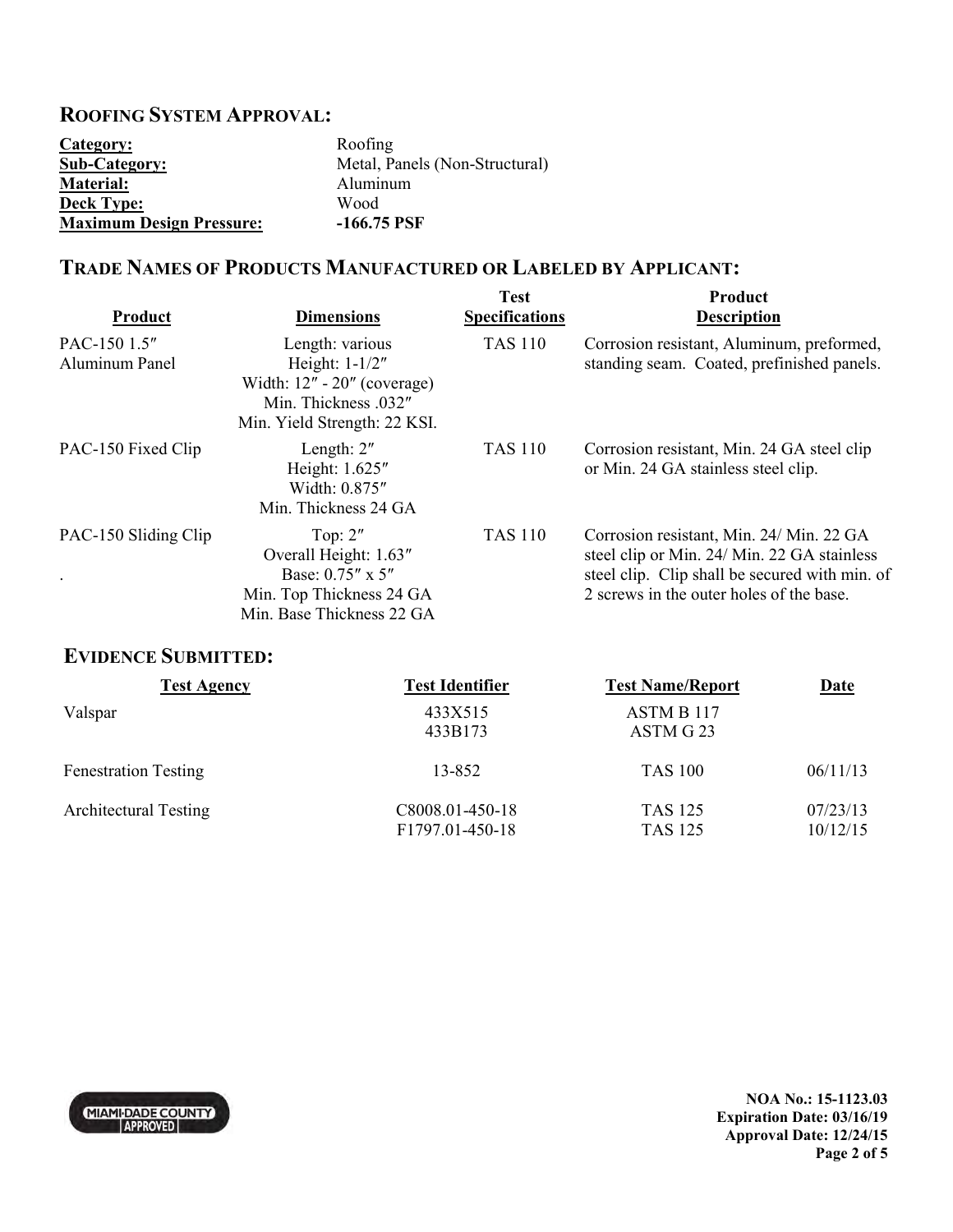### **ROOFING SYSTEM APPROVAL:**

| Category:                       | Roofing                        |
|---------------------------------|--------------------------------|
| <b>Sub-Category:</b>            | Metal, Panels (Non-Structural) |
| <b>Material:</b>                | Aluminum                       |
| <b>Deck Type:</b>               | Wood                           |
| <b>Maximum Design Pressure:</b> | $-166.75$ PSF                  |

## **TRADE NAMES OF PRODUCTS MANUFACTURED OR LABELED BY APPLICANT:**

| Product                               | <b>Dimensions</b>                                                                                                          | <b>Test</b><br><b>Specifications</b> | <b>Product</b><br><b>Description</b>                                                                                                                                                  |
|---------------------------------------|----------------------------------------------------------------------------------------------------------------------------|--------------------------------------|---------------------------------------------------------------------------------------------------------------------------------------------------------------------------------------|
| PAC-150 1.5"<br><b>Aluminum Panel</b> | Length: various<br>Height: 1-1/2"<br>Width: $12" - 20"$ (coverage)<br>Min. Thickness .032"<br>Min. Yield Strength: 22 KSI. | <b>TAS 110</b>                       | Corrosion resistant, Aluminum, preformed,<br>standing seam. Coated, prefinished panels.                                                                                               |
| PAC-150 Fixed Clip                    | Length: $2"$<br>Height: 1.625"<br>Width: 0.875"<br>Min. Thickness 24 GA                                                    | <b>TAS 110</b>                       | Corrosion resistant, Min. 24 GA steel clip<br>or Min. 24 GA stainless steel clip.                                                                                                     |
| PAC-150 Sliding Clip<br>$\bullet$     | Top: $2"$<br>Overall Height: 1.63"<br>Base: 0.75" x 5"<br>Min. Top Thickness 24 GA<br>Min. Base Thickness 22 GA            | <b>TAS 110</b>                       | Corrosion resistant, Min. 24/ Min. 22 GA<br>steel clip or Min. 24/ Min. 22 GA stainless<br>steel clip. Clip shall be secured with min. of<br>2 screws in the outer holes of the base. |

## **EVIDENCE SUBMITTED:**

| <b>Test Agency</b>           | <b>Test Identifier</b>             | <b>Test Name/Report</b>          | <u>Date</u>          |
|------------------------------|------------------------------------|----------------------------------|----------------------|
| Valspar                      | 433X515<br>433B173                 | ASTM B 117<br>ASTM G 23          |                      |
| <b>Fenestration Testing</b>  | 13-852                             | <b>TAS 100</b>                   | 06/11/13             |
| <b>Architectural Testing</b> | C8008.01-450-18<br>F1797.01-450-18 | <b>TAS 125</b><br><b>TAS 125</b> | 07/23/13<br>10/12/15 |



**NOA No.: 15-1123.03 Expiration Date: 03/16/19 Approval Date: 12/24/15 Page 2 of 5**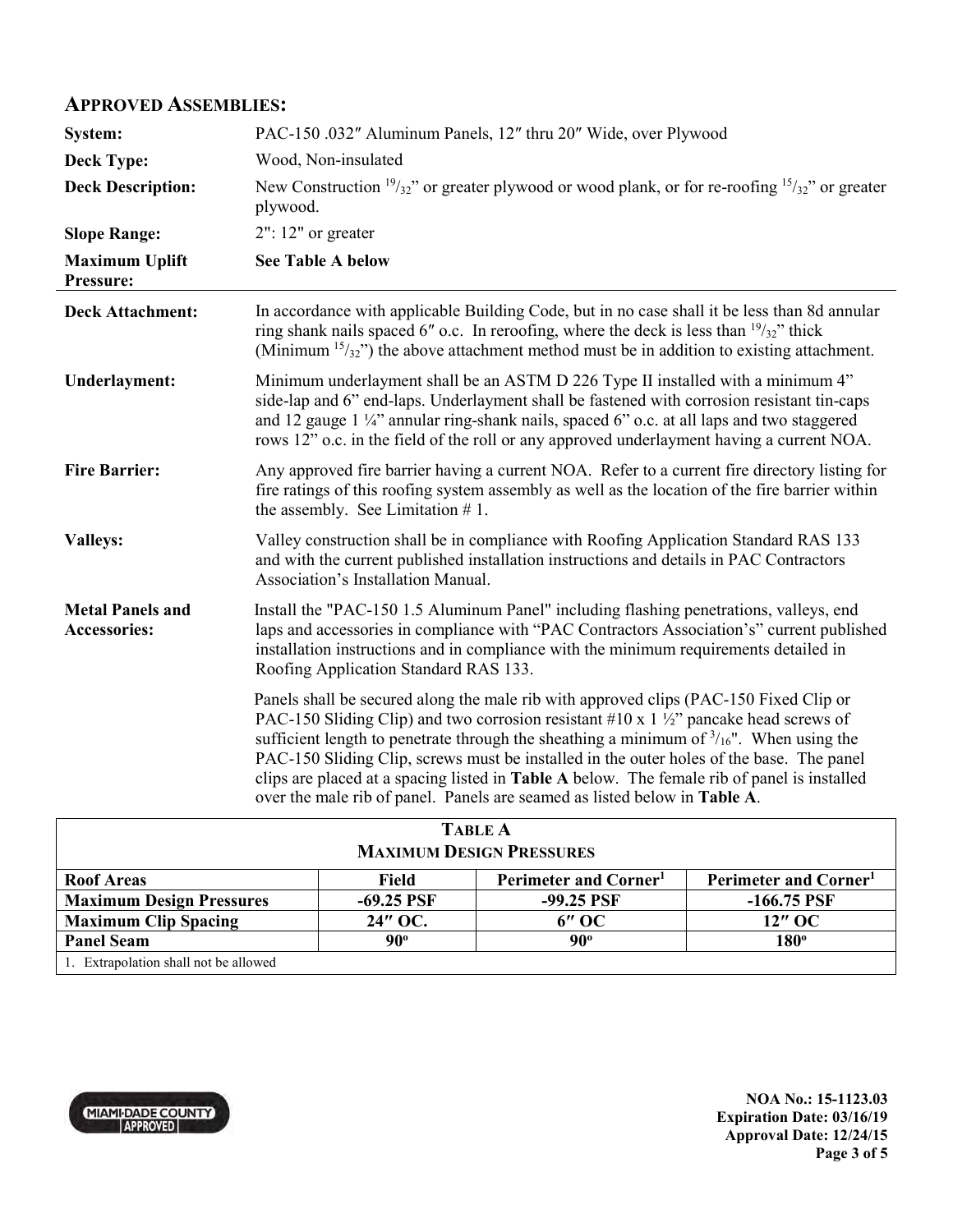#### **APPROVED ASSEMBLIES:**

| System:                                        | PAC-150 .032" Aluminum Panels, 12" thru 20" Wide, over Plywood                                                                                                                                                                                                                                                                                                                                                                                                                                                                                                        |  |  |
|------------------------------------------------|-----------------------------------------------------------------------------------------------------------------------------------------------------------------------------------------------------------------------------------------------------------------------------------------------------------------------------------------------------------------------------------------------------------------------------------------------------------------------------------------------------------------------------------------------------------------------|--|--|
| <b>Deck Type:</b>                              | Wood, Non-insulated                                                                                                                                                                                                                                                                                                                                                                                                                                                                                                                                                   |  |  |
| <b>Deck Description:</b>                       | New Construction $\frac{19}{32}$ " or greater plywood or wood plank, or for re-roofing $\frac{15}{32}$ " or greater<br>plywood.                                                                                                                                                                                                                                                                                                                                                                                                                                       |  |  |
| <b>Slope Range:</b>                            | $2"$ : 12" or greater                                                                                                                                                                                                                                                                                                                                                                                                                                                                                                                                                 |  |  |
| <b>Maximum Uplift</b><br>Pressure:             | <b>See Table A below</b>                                                                                                                                                                                                                                                                                                                                                                                                                                                                                                                                              |  |  |
| <b>Deck Attachment:</b>                        | In accordance with applicable Building Code, but in no case shall it be less than 8d annular<br>ring shank nails spaced 6" o.c. In reroofing, where the deck is less than $\frac{19}{32}$ " thick<br>(Minimum $15/32$ ) the above attachment method must be in addition to existing attachment.                                                                                                                                                                                                                                                                       |  |  |
| <b>Underlayment:</b>                           | Minimum underlayment shall be an ASTM D 226 Type II installed with a minimum 4"<br>side-lap and 6" end-laps. Underlayment shall be fastened with corrosion resistant tin-caps<br>and 12 gauge 1 1/4" annular ring-shank nails, spaced 6" o.c. at all laps and two staggered<br>rows 12" o.c. in the field of the roll or any approved underlayment having a current NOA.                                                                                                                                                                                              |  |  |
| <b>Fire Barrier:</b>                           | Any approved fire barrier having a current NOA. Refer to a current fire directory listing for<br>fire ratings of this roofing system assembly as well as the location of the fire barrier within<br>the assembly. See Limitation $# 1$ .                                                                                                                                                                                                                                                                                                                              |  |  |
| <b>Valleys:</b>                                | Valley construction shall be in compliance with Roofing Application Standard RAS 133<br>and with the current published installation instructions and details in PAC Contractors<br>Association's Installation Manual.                                                                                                                                                                                                                                                                                                                                                 |  |  |
| <b>Metal Panels and</b><br><b>Accessories:</b> | Install the "PAC-150 1.5 Aluminum Panel" including flashing penetrations, valleys, end<br>laps and accessories in compliance with "PAC Contractors Association's" current published<br>installation instructions and in compliance with the minimum requirements detailed in<br>Roofing Application Standard RAS 133.                                                                                                                                                                                                                                                 |  |  |
|                                                | Panels shall be secured along the male rib with approved clips (PAC-150 Fixed Clip or<br>PAC-150 Sliding Clip) and two corrosion resistant #10 x 1 $\frac{1}{2}$ pancake head screws of<br>sufficient length to penetrate through the sheathing a minimum of $\frac{3}{16}$ ". When using the<br>PAC-150 Sliding Clip, screws must be installed in the outer holes of the base. The panel<br>clips are placed at a spacing listed in Table A below. The female rib of panel is installed<br>over the male rib of panel. Panels are seamed as listed below in Table A. |  |  |
| $T \wedge D I E A$                             |                                                                                                                                                                                                                                                                                                                                                                                                                                                                                                                                                                       |  |  |

| <b>TABLE A</b>                        |              |                                   |                                   |  |  |  |
|---------------------------------------|--------------|-----------------------------------|-----------------------------------|--|--|--|
| <b>MAXIMUM DESIGN PRESSURES</b>       |              |                                   |                                   |  |  |  |
| <b>Roof Areas</b>                     | Field        | Perimeter and Corner <sup>1</sup> | Perimeter and Corner <sup>1</sup> |  |  |  |
| <b>Maximum Design Pressures</b>       | $-69.25$ PSF | $-99.25$ PSF                      | $-166.75$ PSF                     |  |  |  |
| <b>Maximum Clip Spacing</b>           | 24" OC.      | $6"$ OC                           | 12" OC                            |  |  |  |
| <b>Panel Seam</b>                     | $90^{\circ}$ | $90^{\circ}$                      | $180^\circ$                       |  |  |  |
| 1. Extrapolation shall not be allowed |              |                                   |                                   |  |  |  |

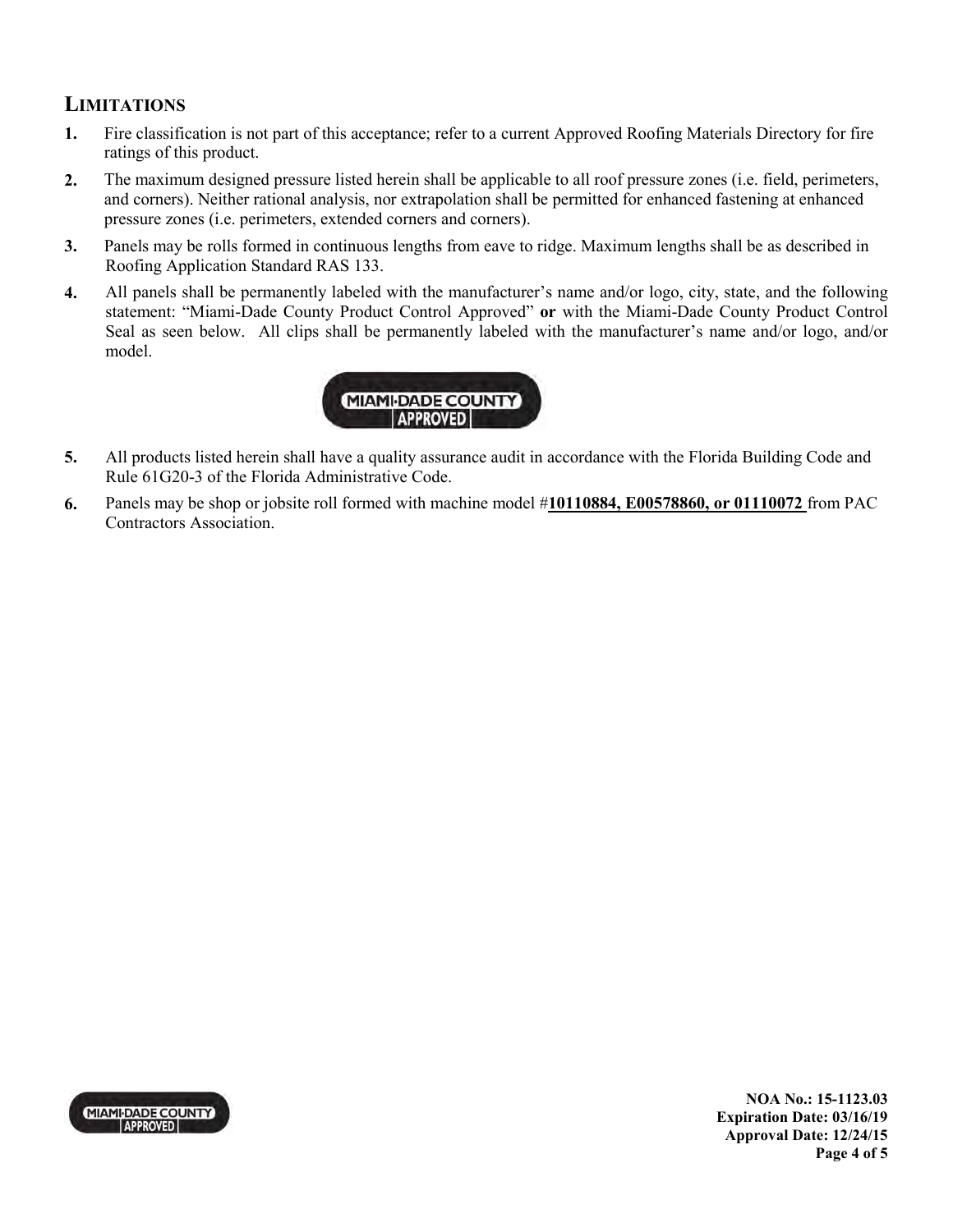### **LIMITATIONS**

- **1.** Fire classification is not part of this acceptance; refer to a current Approved Roofing Materials Directory for fire ratings of this product.
- **2.** The maximum designed pressure listed herein shall be applicable to all roof pressure zones (i.e. field, perimeters, and corners). Neither rational analysis, nor extrapolation shall be permitted for enhanced fastening at enhanced pressure zones (i.e. perimeters, extended corners and corners).
- **3.** Panels may be rolls formed in continuous lengths from eave to ridge. Maximum lengths shall be as described in Roofing Application Standard RAS 133.
- **4.** All panels shall be permanently labeled with the manufacturer's name and/or logo, city, state, and the following statement: "Miami-Dade County Product Control Approved" **or** with the Miami-Dade County Product Control Seal as seen below. All clips shall be permanently labeled with the manufacturer's name and/or logo, and/or model.



- **5.** All products listed herein shall have a quality assurance audit in accordance with the Florida Building Code and Rule 61G20-3 of the Florida Administrative Code.
- **6.** Panels may be shop or jobsite roll formed with machine model #**10110884, E00578860, or 01110072** from PAC Contractors Association.